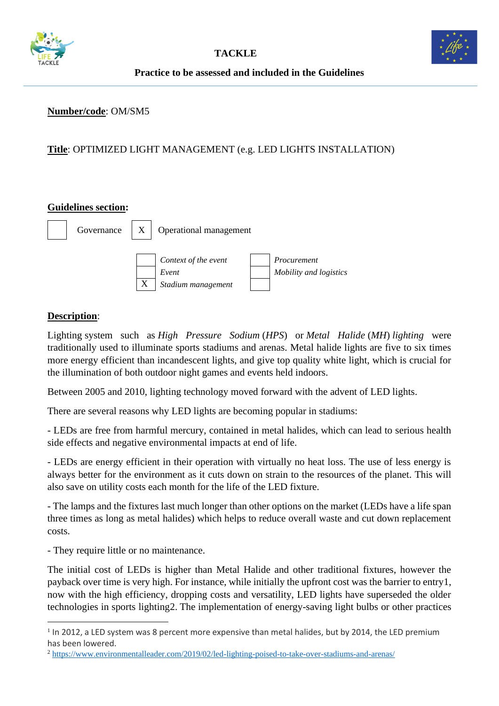



**Practice to be assessed and included in the Guidelines**

#### **Number/code**: OM/SM5

# **Title**: OPTIMIZED LIGHT MANAGEMENT (e.g. LED LIGHTS INSTALLATION)

#### **Guidelines section:**



## **Description**:

Lighting system such as *High Pressure Sodium* (*HPS*) or *Metal Halide* (*MH*) *lighting* were traditionally used to illuminate sports stadiums and arenas. Metal halide lights are five to six times more energy efficient than incandescent lights, and give top quality white light, which is crucial for the illumination of both outdoor night games and events held indoors.

Between 2005 and 2010, lighting technology moved forward with the advent of LED lights.

There are several reasons why LED lights are becoming popular in stadiums:

- LEDs are free from harmful mercury, contained in metal halides, which can lead to serious health side effects and negative environmental impacts at end of life.

- LEDs are energy efficient in their operation with virtually no heat loss. The use of less energy is always better for the environment as it cuts down on strain to the resources of the planet. This will also save on utility costs each month for the life of the LED fixture.

- The lamps and the fixtures last much longer than other options on the market (LEDs have a life span three times as long as metal halides) which helps to reduce overall waste and cut down replacement costs.

- They require little or no maintenance.

The initial cost of LEDs is higher than Metal Halide and other traditional fixtures, however the payback over time is very high. For instance, while initially the upfront cost was the barrier to entry1, now with the high efficiency, dropping costs and versatility, LED lights have superseded the older technologies in sports lighting2. The implementation of energy-saving light bulbs or other practices

<sup>&</sup>lt;sup>1</sup> In 2012, a LED system was 8 percent more expensive than metal halides, but by 2014, the LED premium has been lowered.

<sup>2</sup> <https://www.environmentalleader.com/2019/02/led-lighting-poised-to-take-over-stadiums-and-arenas/>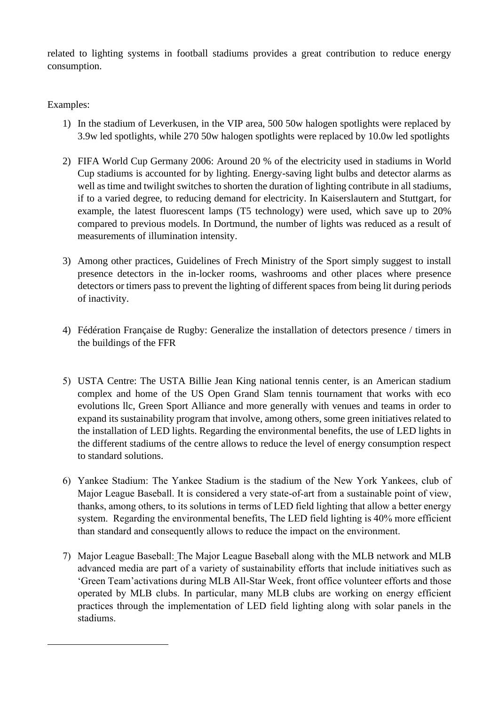related to lighting systems in football stadiums provides a great contribution to reduce energy consumption.

### Examples:

- 1) In the stadium of Leverkusen, in the VIP area, 500 50w halogen spotlights were replaced by 3.9w led spotlights, while 270 50w halogen spotlights were replaced by 10.0w led spotlights
- 2) FIFA World Cup Germany 2006: Around 20 % of the electricity used in stadiums in World Cup stadiums is accounted for by lighting. Energy-saving light bulbs and detector alarms as well as time and twilight switches to shorten the duration of lighting contribute in all stadiums, if to a varied degree, to reducing demand for electricity. In Kaiserslautern and Stuttgart, for example, the latest fluorescent lamps (T5 technology) were used, which save up to 20% compared to previous models. In Dortmund, the number of lights was reduced as a result of measurements of illumination intensity.
- 3) Among other practices, Guidelines of Frech Ministry of the Sport simply suggest to install presence detectors in the in-locker rooms, washrooms and other places where presence detectors or timers pass to prevent the lighting of different spaces from being lit during periods of inactivity.
- 4) Fédération Française de Rugby: Generalize the installation of detectors presence / timers in the buildings of the FFR
- 5) USTA Centre: The USTA Billie Jean King national tennis center, is an American stadium complex and home of the US Open Grand Slam tennis tournament that works with eco evolutions llc, Green Sport Alliance and more generally with venues and teams in order to expand its sustainability program that involve, among others, some green initiatives related to the installation of LED lights. Regarding the environmental benefits, the use of LED lights in the different stadiums of the centre allows to reduce the level of energy consumption respect to standard solutions.
- 6) Yankee Stadium: The Yankee Stadium is the stadium of the New York Yankees, club of Major League Baseball. It is considered a very state-of-art from a sustainable point of view, thanks, among others, to its solutions in terms of LED field lighting that allow a better energy system. Regarding the environmental benefits, The LED field lighting is 40% more efficient than standard and consequently allows to reduce the impact on the environment.
- 7) Major League Baseball: The Major League Baseball along with the MLB network and MLB advanced media are part of a variety of sustainability efforts that include initiatives such as 'Green Team'activations during MLB All-Star Week, front office volunteer efforts and those operated by MLB clubs. In particular, many MLB clubs are working on energy efficient practices through the implementation of LED field lighting along with solar panels in the stadiums.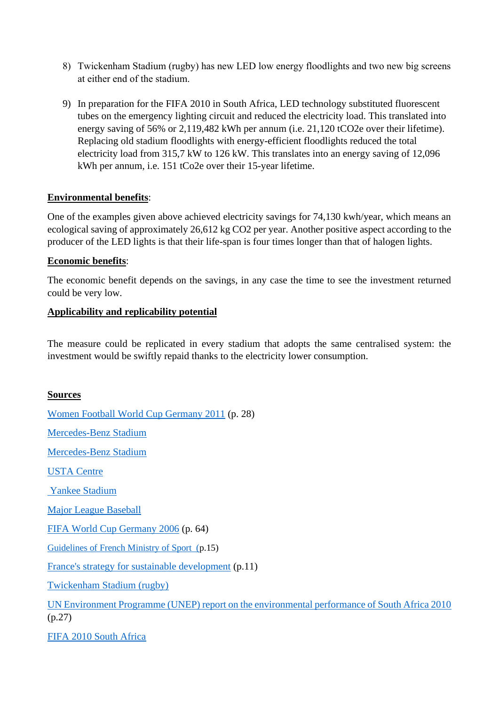- 8) Twickenham Stadium (rugby) has new LED low energy floodlights and two new big screens at either end of the stadium.
- 9) In preparation for the FIFA 2010 in South Africa, LED technology substituted fluorescent tubes on the emergency lighting circuit and reduced the electricity load. This translated into energy saving of 56% or 2,119,482 kWh per annum (i.e. 21,120 tCO2e over their lifetime). Replacing old stadium floodlights with energy-efficient floodlights reduced the total electricity load from 315,7 kW to 126 kW. This translates into an energy saving of 12,096 kWh per annum, i.e. 151 tCo2e over their 15-year lifetime.

#### **Environmental benefits**:

One of the examples given above achieved electricity savings for 74,130 kwh/year, which means an ecological saving of approximately 26,612 kg CO2 per year. Another positive aspect according to the producer of the LED lights is that their life-span is four times longer than that of halogen lights.

## **Economic benefits**:

The economic benefit depends on the savings, in any case the time to see the investment returned could be very low.

## **Applicability and replicability potential**

The measure could be replicated in every stadium that adopts the same centralised system: the investment would be swiftly repaid thanks to the electricity lower consumption.

# **Sources**

[Women Football World Cup Germany 2011](file:///C:/Users/gaiap/Dropbox/TACKLE/Buone%20pratiche/Report%20da%20fare/fwwc2011green_goal_legacy_report_en.pdf) (p. 28) [Mercedes-Benz Stadium](https://www.hok.com/about/news/2017/11/15/mercedes-benz-stadium-becomes-first-professional-sports-stadium-to-receive-leed-platinum-certification/) [Mercedes-Benz Stadium](https://www.usgbc.org/projects/mercedesbenz-stadium) [USTA Centre](https://www.usopen.org/en_US/about/green_initiatives.html) [Yankee Stadium](https://www.mlb.com/yankees/ballpark/information/sustainability-initiatives) [Major League Baseball](http://www.mlb.com/documents/7/7/2/270004772/MLB_Web_File_Cropped.pdf) [FIFA World Cup Germany 2006](https://www.oeko.de/oekodoc/292/2006-011-en.pdf) (p. 64) [Guidelines of French Ministry of Sport \(p](http://developpement-durable.sports.gouv.fr/m/ressources/details/le-guide-pratique-pour-une-gestion-eco-responsable-des-etablissements-sportifs/358).15) [France's strategy for sustainable development](http://developpement-durable.sports.gouv.fr/m/ressources/details/strategie-de-developpement-durable-et-responsable-plan-d-actions-2013-2020/329) (p.11) [Twickenham Stadium \(rugby\)](https://foundationfootprint.com/news/sustainability-at-the-2015-rugby-world-cup/) [UN Environment Programme \(UNEP\) report on the environmental performance of South Africa 2010](https://wedocs.unep.org/bitstream/handle/20.500.11822/22762/FIFA_2010_LR.pdf?sequence=1&isAllowed=y) (p.27) [FIFA 2010 South Africa](https://www.westerncape.gov.za/Text/2011/7/green_goal2010_part1.pdf)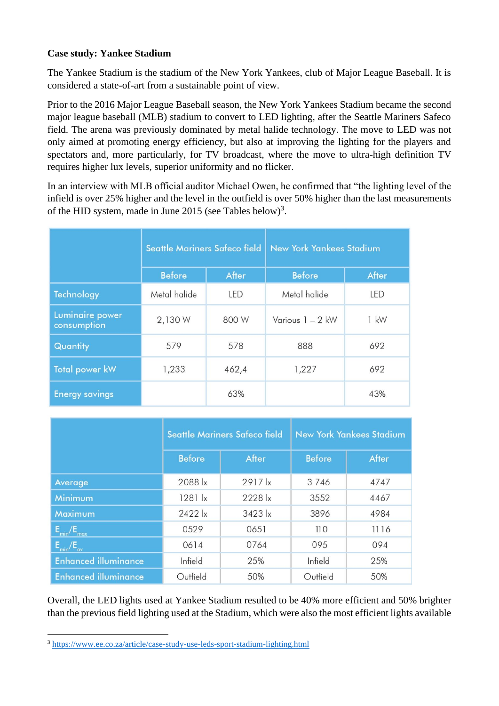## **Case study: Yankee Stadium**

The Yankee Stadium is the stadium of the New York Yankees, club of Major League Baseball. It is considered a state-of-art from a sustainable point of view.

Prior to the 2016 Major League Baseball season, the New York Yankees Stadium became the second major league baseball (MLB) stadium to convert to LED lighting, after the Seattle Mariners Safeco field. The arena was previously dominated by metal halide technology. The move to LED was not only aimed at promoting energy efficiency, but also at improving the lighting for the players and spectators and, more particularly, for TV broadcast, where the move to ultra-high definition TV requires higher lux levels, superior uniformity and no flicker.

In an interview with MLB official auditor Michael Owen, he confirmed that "the lighting level of the infield is over 25% higher and the level in the outfield is over 50% higher than the last measurements of the HID system, made in June 2015 (see Tables below)<sup>3</sup>.

|                                | <b>Seattle Mariners Safeco field</b> |            | <b>New York Yankees Stadium</b> |        |
|--------------------------------|--------------------------------------|------------|---------------------------------|--------|
|                                | <b>Before</b>                        | After      | <b>Before</b>                   | After  |
| <b>Technology</b>              | Metal halide                         | <b>LED</b> | Metal halide                    | LED    |
| Luminaire power<br>consumption | 2,130 W                              | 800 W      | Various $1 - 2$ kW              | $1$ kW |
| Quantity                       | 579                                  | 578        | 888                             | 692    |
| <b>Total power kW</b>          | 1,233                                | 462,4      | 1,227                           | 692    |
| <b>Energy savings</b>          |                                      | 63%        |                                 | 43%    |

|                                 |                 | <b>Seattle Mariners Safeco field</b> | <b>New York Yankees Stadium</b> |       |
|---------------------------------|-----------------|--------------------------------------|---------------------------------|-------|
|                                 | <b>Before</b>   | After                                | <b>Before</b>                   | After |
| Average                         | 2088  x         | $2917$ $\overline{x}$                | 3746                            | 4747  |
| <b>Minimum</b>                  | $1281$ $x$      | 2228 k                               | 3552                            | 4467  |
| Maximum                         | $2422$ $\times$ | 3423 lx                              | 3896                            | 4984  |
| $E_{\text{min}}/E_{\text{max}}$ | 0529            | 0651                                 | 110                             | 1116  |
| $E_{\text{min}}/E_{\text{av}}$  | 0614            | 0764                                 | 095                             | 094   |
| <b>Enhanced illuminance</b>     | Infield         | 25%                                  | Infield                         | 25%   |
| <b>Enhanced illuminance</b>     | Outfield        | 50%                                  | Outfield                        | 50%   |

Overall, the LED lights used at Yankee Stadium resulted to be 40% more efficient and 50% brighter than the previous field lighting used at the Stadium, which were also the most efficient lights available

<sup>3</sup> <https://www.ee.co.za/article/case-study-use-leds-sport-stadium-lighting.html>